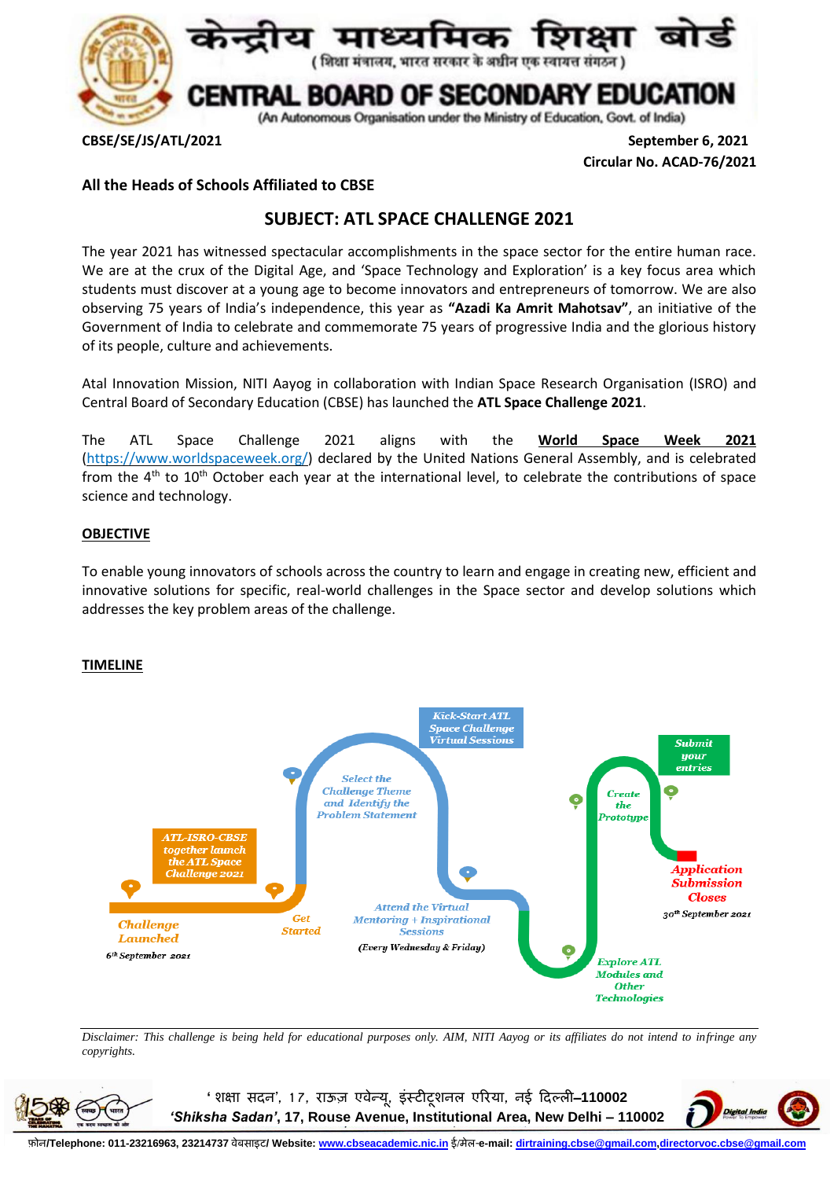

**CBSE/SE/JS/ATL/2021 September 6, 2021 Circular No. ACAD-76/2021**

### **All the Heads of Schools Affiliated to CBSE**

# **SUBJECT: ATL SPACE CHALLENGE 2021**

The year 2021 has witnessed spectacular accomplishments in the space sector for the entire human race. We are at the crux of the Digital Age, and 'Space Technology and Exploration' is a key focus area which students must discover at a young age to become innovators and entrepreneurs of tomorrow. We are also observing 75 years of India's independence, this year as **"Azadi Ka Amrit Mahotsav"**, an initiative of the Government of India to celebrate and commemorate 75 years of progressive India and the glorious history of its people, culture and achievements.

Atal Innovation Mission, NITI Aayog in collaboration with Indian Space Research Organisation (ISRO) and Central Board of Secondary Education (CBSE) has launched the **ATL Space Challenge 2021**.

The ATL Space Challenge 2021 aligns with the **World Space Week 2021** [\(https://www.worldspaceweek.org/\)](https://www.worldspaceweek.org/) declared by the United Nations General Assembly, and is celebrated from the  $4<sup>th</sup>$  to  $10<sup>th</sup>$  October each year at the international level, to celebrate the contributions of space science and technology.

#### **OBJECTIVE**

To enable young innovators of schools across the country to learn and engage in creating new, efficient and innovative solutions for specific, real-world challenges in the Space sector and develop solutions which addresses the key problem areas of the challenge.

#### **TIMELINE**



*Disclaimer: This challenge is being held for educational purposes only. AIM, NITI Aayog or its affiliates do not intend to infringe any copyrights.*



**'शिक्षा सदन', 1 7, राऊज़ एवेन्यू, इंस्टीटूिनल एररया, नई ददल्ली**–**110002**  *'Shiksha Sadan'***, 17, Rouse Avenue, Institutional Area, New Delhi – 110002**



फ़ोल/Telephone: 011-23216963, 23214737 वेबसाइट/ Website: <u>[www.cbseacademic.nic.in](http://www.cbseacademic.nic.in/)</u> ई/मेल-e-mail: <u>dirtraining.cbse@qmail.com,directorvoc.cbse@qmail.com</u>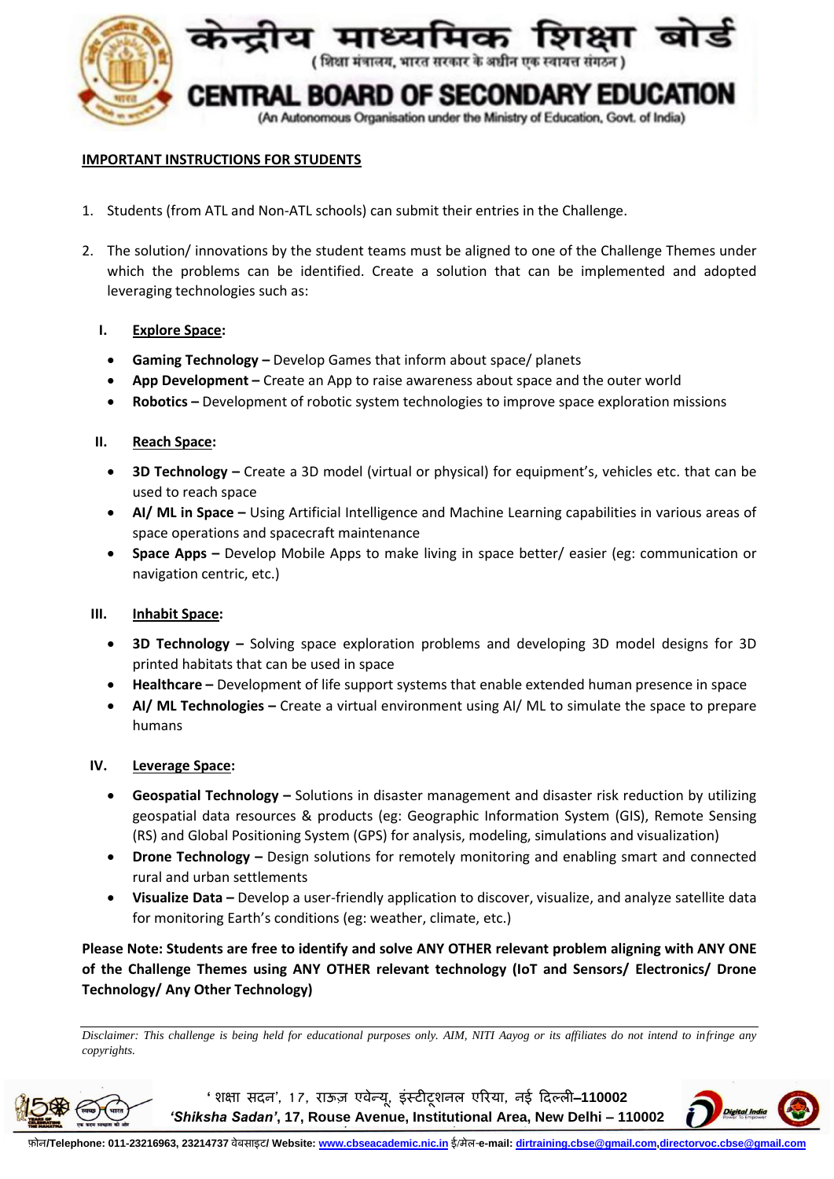

### **IMPORTANT INSTRUCTIONS FOR STUDENTS**

- 1. Students (from ATL and Non-ATL schools) can submit their entries in the Challenge.
- 2. The solution/ innovations by the student teams must be aligned to one of the Challenge Themes under which the problems can be identified. Create a solution that can be implemented and adopted leveraging technologies such as:

#### **I. Explore Space:**

- **Gaming Technology –** Develop Games that inform about space/ planets
- **App Development –** Create an App to raise awareness about space and the outer world
- **Robotics –** Development of robotic system technologies to improve space exploration missions

#### **II. Reach Space:**

- **3D Technology –** Create a 3D model (virtual or physical) for equipment's, vehicles etc. that can be used to reach space
- **AI/ ML in Space –** Using Artificial Intelligence and Machine Learning capabilities in various areas of space operations and spacecraft maintenance
- **Space Apps –** Develop Mobile Apps to make living in space better/ easier (eg: communication or navigation centric, etc.)

#### **III. Inhabit Space:**

- **3D Technology –** Solving space exploration problems and developing 3D model designs for 3D printed habitats that can be used in space
- **Healthcare –** Development of life support systems that enable extended human presence in space
- **AI/ ML Technologies –** Create a virtual environment using AI/ ML to simulate the space to prepare humans

#### **IV. Leverage Space:**

- **Geospatial Technology –** Solutions in disaster management and disaster risk reduction by utilizing geospatial data resources & products (eg: Geographic Information System (GIS), Remote Sensing (RS) and Global Positioning System (GPS) for analysis, modeling, simulations and visualization)
- **Drone Technology –** Design solutions for remotely monitoring and enabling smart and connected rural and urban settlements
- **Visualize Data –** Develop a user-friendly application to discover, visualize, and analyze satellite data for monitoring Earth's conditions (eg: weather, climate, etc.)

**Please Note: Students are free to identify and solve ANY OTHER relevant problem aligning with ANY ONE of the Challenge Themes using ANY OTHER relevant technology (IoT and Sensors/ Electronics/ Drone Technology/ Any Other Technology)**

*Disclaimer: This challenge is being held for educational purposes only. AIM, NITI Aayog or its affiliates do not intend to infringe any copyrights.*



**'शिक्षा सदन', 1 7, राऊज़ एवेन्यू, इंस्टीटूिनल एररया, नई ददल्ली**–**110002**  *'Shiksha Sadan'***, 17, Rouse Avenue, Institutional Area, New Delhi – 110002**

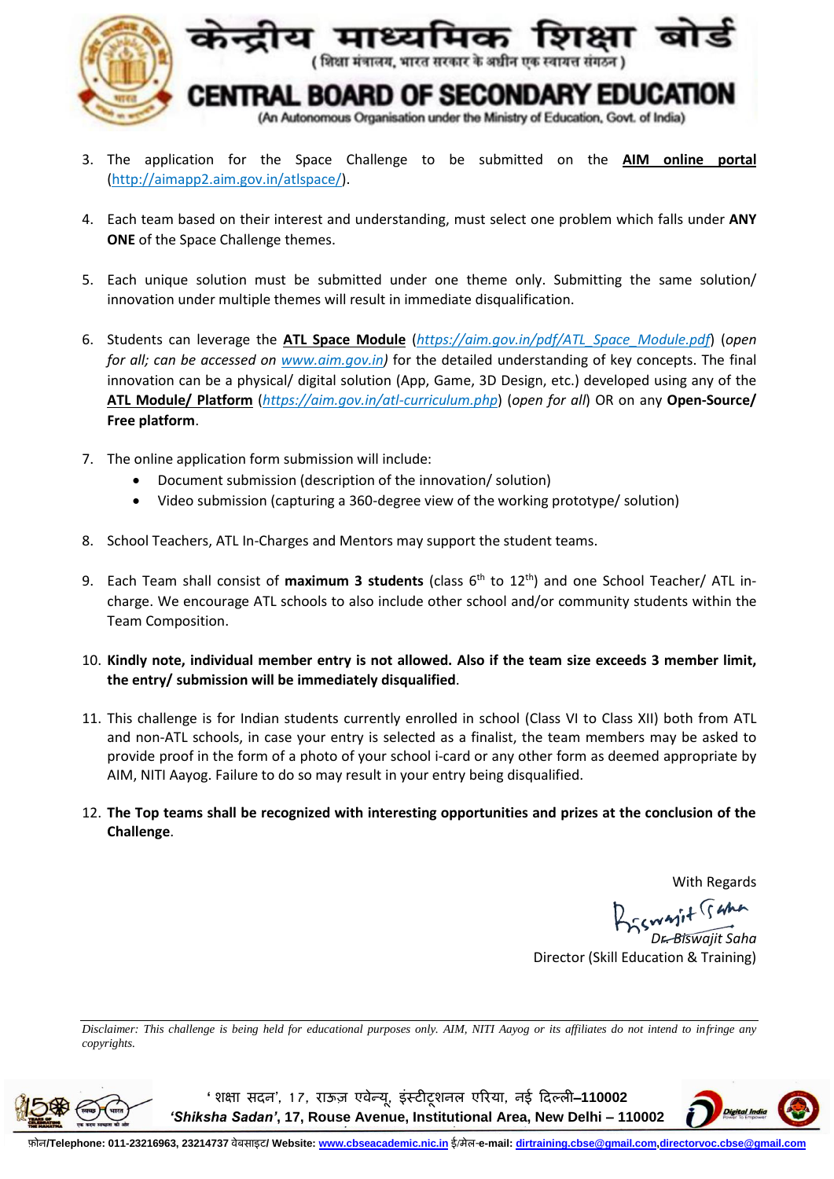

- 3. The application for the Space Challenge to be submitted on the **AIM online portal** [\(http://aimapp2.aim.gov.in/atlspace/\)](http://aimapp2.aim.gov.in/atlspace/).
- 4. Each team based on their interest and understanding, must select one problem which falls under **ANY ONE** of the Space Challenge themes.
- 5. Each unique solution must be submitted under one theme only. Submitting the same solution/ innovation under multiple themes will result in immediate disqualification.
- 6. Students can leverage the **ATL Space Module** (*[https://aim.gov.in/pdf/ATL\\_Space\\_Module.pdf](https://aim.gov.in/pdf/ATL_Space_Module.pdf)*) (*open for all; can be accessed on [www.aim.gov.in\)](http://www.aim.gov.in/)* for the detailed understanding of key concepts. The final innovation can be a physical/ digital solution (App, Game, 3D Design, etc.) developed using any of the **ATL Module/ Platform** (*<https://aim.gov.in/atl-curriculum.php>*) (*open for all*) OR on any **Open-Source/ Free platform**.
- 7. The online application form submission will include:
	- Document submission (description of the innovation/ solution)
	- Video submission (capturing a 360-degree view of the working prototype/ solution)
- 8. School Teachers, ATL In-Charges and Mentors may support the student teams.
- 9. Each Team shall consist of **maximum 3 students** (class 6 th to 12th) and one School Teacher/ ATL incharge. We encourage ATL schools to also include other school and/or community students within the Team Composition.
- 10. **Kindly note, individual member entry is not allowed. Also if the team size exceeds 3 member limit, the entry/ submission will be immediately disqualified**.
- 11. This challenge is for Indian students currently enrolled in school (Class VI to Class XII) both from ATL and non-ATL schools, in case your entry is selected as a finalist, the team members may be asked to provide proof in the form of a photo of your school i-card or any other form as deemed appropriate by AIM, NITI Aayog. Failure to do so may result in your entry being disqualified.
- 12. **The Top teams shall be recognized with interesting opportunities and prizes at the conclusion of the Challenge**.

With Regards

BESWAIT Sama

*Dr. Biswajit Saha* Director (Skill Education & Training)

*Disclaimer: This challenge is being held for educational purposes only. AIM, NITI Aayog or its affiliates do not intend to infringe any copyrights.*



**'शिक्षा सदन', 1 7, राऊज़ एवेन्यू, इंस्टीटूिनल एररया, नई ददल्ली**–**110002**  *'Shiksha Sadan'***, 17, Rouse Avenue, Institutional Area, New Delhi – 110002**